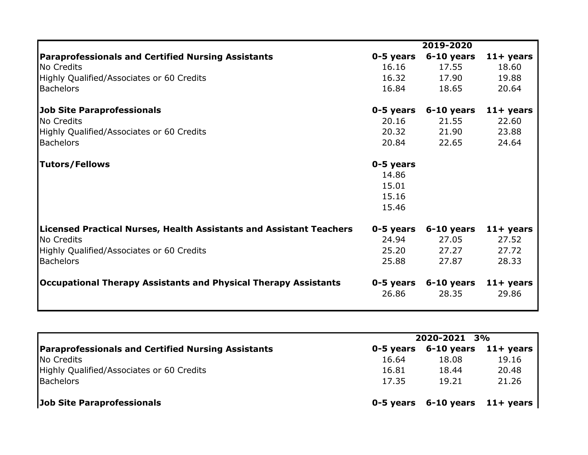|                                                                            |           | 2019-2020  |              |
|----------------------------------------------------------------------------|-----------|------------|--------------|
| <b>Paraprofessionals and Certified Nursing Assistants</b>                  | 0-5 years | 6-10 years | $11 +$ years |
| No Credits                                                                 | 16.16     | 17.55      | 18.60        |
| Highly Qualified/Associates or 60 Credits                                  | 16.32     | 17.90      | 19.88        |
| <b>Bachelors</b>                                                           | 16.84     | 18.65      | 20.64        |
| <b>Job Site Paraprofessionals</b>                                          | 0-5 years | 6-10 years | $11 +$ years |
| No Credits                                                                 | 20.16     | 21.55      | 22.60        |
| Highly Qualified/Associates or 60 Credits                                  | 20.32     | 21.90      | 23.88        |
| <b>Bachelors</b>                                                           | 20.84     | 22.65      | 24.64        |
| <b>Tutors/Fellows</b>                                                      | 0-5 years |            |              |
|                                                                            | 14.86     |            |              |
|                                                                            | 15.01     |            |              |
|                                                                            | 15.16     |            |              |
|                                                                            | 15.46     |            |              |
| <b>Licensed Practical Nurses, Health Assistants and Assistant Teachers</b> | 0-5 years | 6-10 years | $11+$ years  |
| No Credits                                                                 | 24.94     | 27.05      | 27.52        |
| Highly Qualified/Associates or 60 Credits                                  | 25.20     | 27.27      | 27.72        |
| <b>Bachelors</b>                                                           | 25.88     | 27.87      | 28.33        |
| Occupational Therapy Assistants and Physical Therapy Assistants            | 0-5 years | 6-10 years | $11+$ years  |
|                                                                            | 26.86     | 28.35      | 29.86        |

|                                                           | 2020-2021 3% |                                      |       |
|-----------------------------------------------------------|--------------|--------------------------------------|-------|
| <b>Paraprofessionals and Certified Nursing Assistants</b> |              | $0-5$ years $6-10$ years $11+$ years |       |
| No Credits                                                | 16.64        | 18.08                                | 19.16 |
| Highly Qualified/Associates or 60 Credits                 | 16.81        | 18.44                                | 20.48 |
| <b>Bachelors</b>                                          | 17.35        | 19.21                                | 21.26 |
| <b>Job Site Paraprofessionals</b>                         |              | $0-5$ years $6-10$ years $11+$ years |       |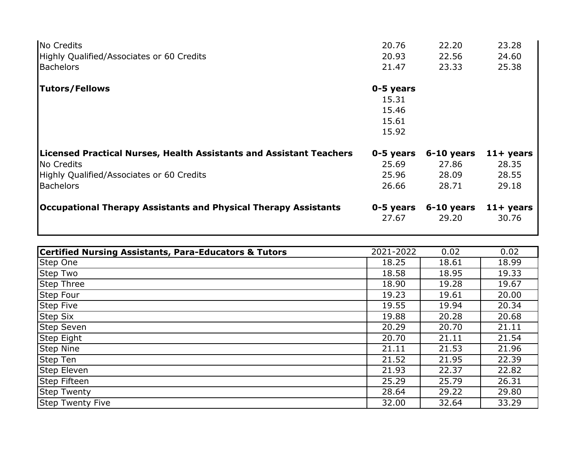| No Credits                                                                 | 20.76                                         | 22.20        | 23.28        |
|----------------------------------------------------------------------------|-----------------------------------------------|--------------|--------------|
| Highly Qualified/Associates or 60 Credits                                  | 20.93                                         | 22.56        | 24.60        |
| <b>Bachelors</b>                                                           | 21.47                                         | 23.33        | 25.38        |
| <b>Tutors/Fellows</b>                                                      | 0-5 years<br>15.31<br>15.46<br>15.61<br>15.92 |              |              |
| <b>Licensed Practical Nurses, Health Assistants and Assistant Teachers</b> | 0-5 years                                     | $6-10$ years | $11 +$ years |
| No Credits                                                                 | 25.69                                         | 27.86        | 28.35        |
| Highly Qualified/Associates or 60 Credits                                  | 25.96                                         | 28.09        | 28.55        |
| <b>Bachelors</b>                                                           | 26.66                                         | 28.71        | 29.18        |
| Occupational Therapy Assistants and Physical Therapy Assistants            | 0-5 years                                     | $6-10$ years | $11 +$ years |
|                                                                            | 27.67                                         | 29.20        | 30.76        |

| <b>Certified Nursing Assistants, Para-Educators &amp; Tutors</b> | 2021-2022 | 0.02  | 0.02  |
|------------------------------------------------------------------|-----------|-------|-------|
| Step One                                                         | 18.25     | 18.61 | 18.99 |
| <b>Step Two</b>                                                  | 18.58     | 18.95 | 19.33 |
| <b>Step Three</b>                                                | 18.90     | 19.28 | 19.67 |
| Step Four                                                        | 19.23     | 19.61 | 20.00 |
| <b>Step Five</b>                                                 | 19.55     | 19.94 | 20.34 |
| <b>Step Six</b>                                                  | 19.88     | 20.28 | 20.68 |
| <b>Step Seven</b>                                                | 20.29     | 20.70 | 21.11 |
| <b>Step Eight</b>                                                | 20.70     | 21.11 | 21.54 |
| <b>Step Nine</b>                                                 | 21.11     | 21.53 | 21.96 |
| Step Ten                                                         | 21.52     | 21.95 | 22.39 |
| Step Eleven                                                      | 21.93     | 22.37 | 22.82 |
| Step Fifteen                                                     | 25.29     | 25.79 | 26.31 |
| <b>Step Twenty</b>                                               | 28.64     | 29.22 | 29.80 |
| <b>Step Twenty Five</b>                                          | 32.00     | 32.64 | 33.29 |